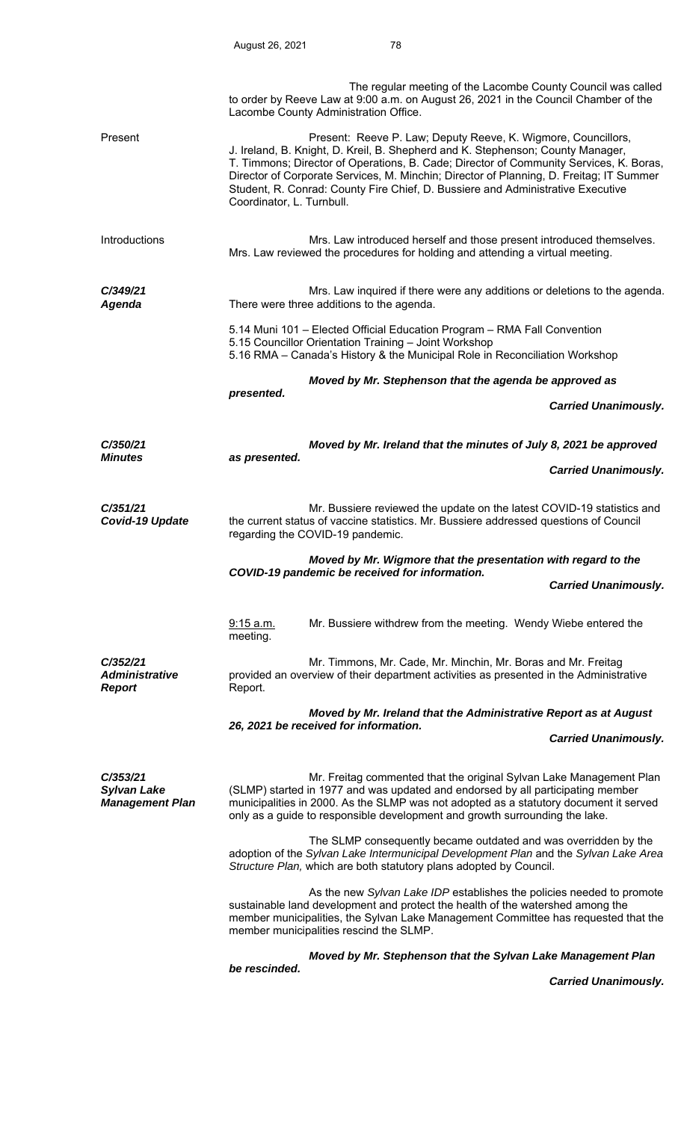|                                                          |                                                                                                                                                                                                                                                                                                                                | The regular meeting of the Lacombe County Council was called<br>to order by Reeve Law at 9:00 a.m. on August 26, 2021 in the Council Chamber of the<br>Lacombe County Administration Office.                                                                                                                                                                                                                             |                             |  |
|----------------------------------------------------------|--------------------------------------------------------------------------------------------------------------------------------------------------------------------------------------------------------------------------------------------------------------------------------------------------------------------------------|--------------------------------------------------------------------------------------------------------------------------------------------------------------------------------------------------------------------------------------------------------------------------------------------------------------------------------------------------------------------------------------------------------------------------|-----------------------------|--|
| Present                                                  | Coordinator, L. Turnbull.                                                                                                                                                                                                                                                                                                      | Present: Reeve P. Law; Deputy Reeve, K. Wigmore, Councillors,<br>J. Ireland, B. Knight, D. Kreil, B. Shepherd and K. Stephenson; County Manager,<br>T. Timmons; Director of Operations, B. Cade; Director of Community Services, K. Boras,<br>Director of Corporate Services, M. Minchin; Director of Planning, D. Freitag; IT Summer<br>Student, R. Conrad: County Fire Chief, D. Bussiere and Administrative Executive |                             |  |
| Introductions                                            |                                                                                                                                                                                                                                                                                                                                | Mrs. Law introduced herself and those present introduced themselves.<br>Mrs. Law reviewed the procedures for holding and attending a virtual meeting.                                                                                                                                                                                                                                                                    |                             |  |
| C/349/21<br><b>Agenda</b>                                | Mrs. Law inquired if there were any additions or deletions to the agenda.<br>There were three additions to the agenda.                                                                                                                                                                                                         |                                                                                                                                                                                                                                                                                                                                                                                                                          |                             |  |
|                                                          | 5.14 Muni 101 - Elected Official Education Program - RMA Fall Convention<br>5.15 Councillor Orientation Training - Joint Workshop<br>5.16 RMA - Canada's History & the Municipal Role in Reconciliation Workshop                                                                                                               |                                                                                                                                                                                                                                                                                                                                                                                                                          |                             |  |
|                                                          | Moved by Mr. Stephenson that the agenda be approved as                                                                                                                                                                                                                                                                         |                                                                                                                                                                                                                                                                                                                                                                                                                          |                             |  |
|                                                          | presented.                                                                                                                                                                                                                                                                                                                     |                                                                                                                                                                                                                                                                                                                                                                                                                          | <b>Carried Unanimously.</b> |  |
| C/350/21<br><b>Minutes</b>                               | Moved by Mr. Ireland that the minutes of July 8, 2021 be approved                                                                                                                                                                                                                                                              |                                                                                                                                                                                                                                                                                                                                                                                                                          |                             |  |
|                                                          | as presented.                                                                                                                                                                                                                                                                                                                  |                                                                                                                                                                                                                                                                                                                                                                                                                          | <b>Carried Unanimously.</b> |  |
| C/351/21<br>Covid-19 Update                              |                                                                                                                                                                                                                                                                                                                                | Mr. Bussiere reviewed the update on the latest COVID-19 statistics and<br>the current status of vaccine statistics. Mr. Bussiere addressed questions of Council<br>regarding the COVID-19 pandemic.                                                                                                                                                                                                                      |                             |  |
|                                                          | Moved by Mr. Wigmore that the presentation with regard to the<br>COVID-19 pandemic be received for information.                                                                                                                                                                                                                |                                                                                                                                                                                                                                                                                                                                                                                                                          |                             |  |
|                                                          |                                                                                                                                                                                                                                                                                                                                |                                                                                                                                                                                                                                                                                                                                                                                                                          | <b>Carried Unanimously.</b> |  |
|                                                          | 9:15 a.m.<br>meeting.                                                                                                                                                                                                                                                                                                          | Mr. Bussiere withdrew from the meeting. Wendy Wiebe entered the                                                                                                                                                                                                                                                                                                                                                          |                             |  |
| C/352/21<br><b>Administrative</b><br><b>Report</b>       | Report.                                                                                                                                                                                                                                                                                                                        | Mr. Timmons, Mr. Cade, Mr. Minchin, Mr. Boras and Mr. Freitag<br>provided an overview of their department activities as presented in the Administrative                                                                                                                                                                                                                                                                  |                             |  |
|                                                          | Moved by Mr. Ireland that the Administrative Report as at August<br>26, 2021 be received for information.                                                                                                                                                                                                                      |                                                                                                                                                                                                                                                                                                                                                                                                                          |                             |  |
|                                                          |                                                                                                                                                                                                                                                                                                                                |                                                                                                                                                                                                                                                                                                                                                                                                                          | <b>Carried Unanimously.</b> |  |
| C/353/21<br><b>Sylvan Lake</b><br><b>Management Plan</b> | Mr. Freitag commented that the original Sylvan Lake Management Plan<br>(SLMP) started in 1977 and was updated and endorsed by all participating member<br>municipalities in 2000. As the SLMP was not adopted as a statutory document it served<br>only as a guide to responsible development and growth surrounding the lake. |                                                                                                                                                                                                                                                                                                                                                                                                                          |                             |  |
|                                                          | The SLMP consequently became outdated and was overridden by the<br>adoption of the Sylvan Lake Intermunicipal Development Plan and the Sylvan Lake Area<br>Structure Plan, which are both statutory plans adopted by Council.                                                                                                  |                                                                                                                                                                                                                                                                                                                                                                                                                          |                             |  |
|                                                          |                                                                                                                                                                                                                                                                                                                                | As the new Sylvan Lake IDP establishes the policies needed to promote<br>sustainable land development and protect the health of the watershed among the<br>member municipalities, the Sylvan Lake Management Committee has requested that the<br>member municipalities rescind the SLMP.                                                                                                                                 |                             |  |
|                                                          | be rescinded.                                                                                                                                                                                                                                                                                                                  | Moved by Mr. Stephenson that the Sylvan Lake Management Plan                                                                                                                                                                                                                                                                                                                                                             |                             |  |

 *Carried Unanimously.*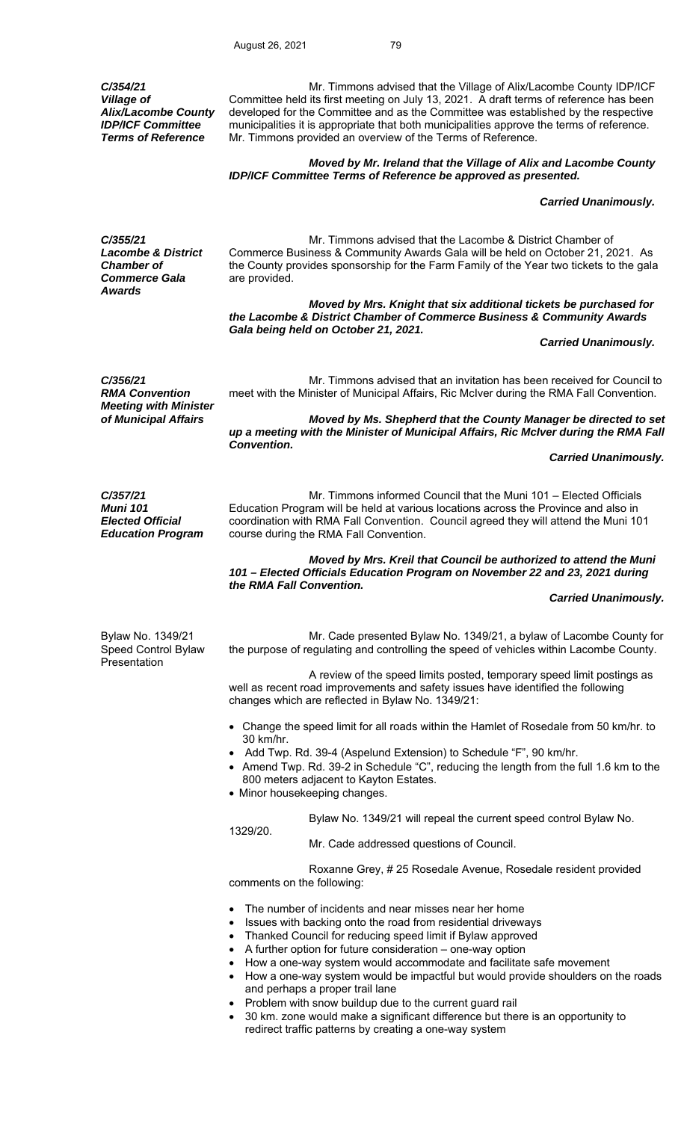*C/354/21 Village of Alix/Lacombe County IDP/ICF Committee Terms of Reference* 

 Mr. Timmons advised that the Village of Alix/Lacombe County IDP/ICF Committee held its first meeting on July 13, 2021. A draft terms of reference has been developed for the Committee and as the Committee was established by the respective municipalities it is appropriate that both municipalities approve the terms of reference. Mr. Timmons provided an overview of the Terms of Reference.

# *Moved by Mr. Ireland that the Village of Alix and Lacombe County IDP/ICF Committee Terms of Reference be approved as presented.*

### *Carried Unanimously.*

*C/355/21 Lacombe & District Chamber of Commerce Gala Awards* 

 Mr. Timmons advised that the Lacombe & District Chamber of Commerce Business & Community Awards Gala will be held on October 21, 2021. As the County provides sponsorship for the Farm Family of the Year two tickets to the gala are provided.

 *Moved by Mrs. Knight that six additional tickets be purchased for the Lacombe & District Chamber of Commerce Business & Community Awards Gala being held on October 21, 2021.* 

### *Carried Unanimously.*

*C/356/21 RMA Convention*  Mr. Timmons advised that an invitation has been received for Council to meet with the Minister of Municipal Affairs, Ric McIver during the RMA Fall Convention. *Meeting with Minister Moved by Ms. Shepherd that the County Manager be directed to set* 

*up a meeting with the Minister of Municipal Affairs, Ric McIver during the RMA Fall Convention.* 

 *Carried Unanimously.* 

*C/357/21 Muni 101 Elected Official Education Program* 

 Mr. Timmons informed Council that the Muni 101 – Elected Officials Education Program will be held at various locations across the Province and also in coordination with RMA Fall Convention. Council agreed they will attend the Muni 101 course during the RMA Fall Convention.

*Moved by Mrs. Kreil that Council be authorized to attend the Muni 101 – Elected Officials Education Program on November 22 and 23, 2021 during the RMA Fall Convention.* 

## *Carried Unanimously.*

Bylaw No. 1349/21 Speed Control Bylaw **Presentation** 

 Mr. Cade presented Bylaw No. 1349/21, a bylaw of Lacombe County for the purpose of regulating and controlling the speed of vehicles within Lacombe County.

 A review of the speed limits posted, temporary speed limit postings as well as recent road improvements and safety issues have identified the following changes which are reflected in Bylaw No. 1349/21:

- Change the speed limit for all roads within the Hamlet of Rosedale from 50 km/hr. to 30 km/hr.
- Add Twp. Rd. 39-4 (Aspelund Extension) to Schedule "F", 90 km/hr.
- Amend Twp. Rd. 39-2 in Schedule "C", reducing the length from the full 1.6 km to the 800 meters adjacent to Kayton Estates.
- Minor housekeeping changes.

Bylaw No. 1349/21 will repeal the current speed control Bylaw No.

1329/20.

Mr. Cade addressed questions of Council.

 Roxanne Grey, # 25 Rosedale Avenue, Rosedale resident provided comments on the following:

- The number of incidents and near misses near her home
- Issues with backing onto the road from residential driveways
- Thanked Council for reducing speed limit if Bylaw approved
- A further option for future consideration one-way option
- How a one-way system would accommodate and facilitate safe movement
- How a one-way system would be impactful but would provide shoulders on the roads and perhaps a proper trail lane
	- Problem with snow buildup due to the current guard rail
- 30 km. zone would make a significant difference but there is an opportunity to redirect traffic patterns by creating a one-way system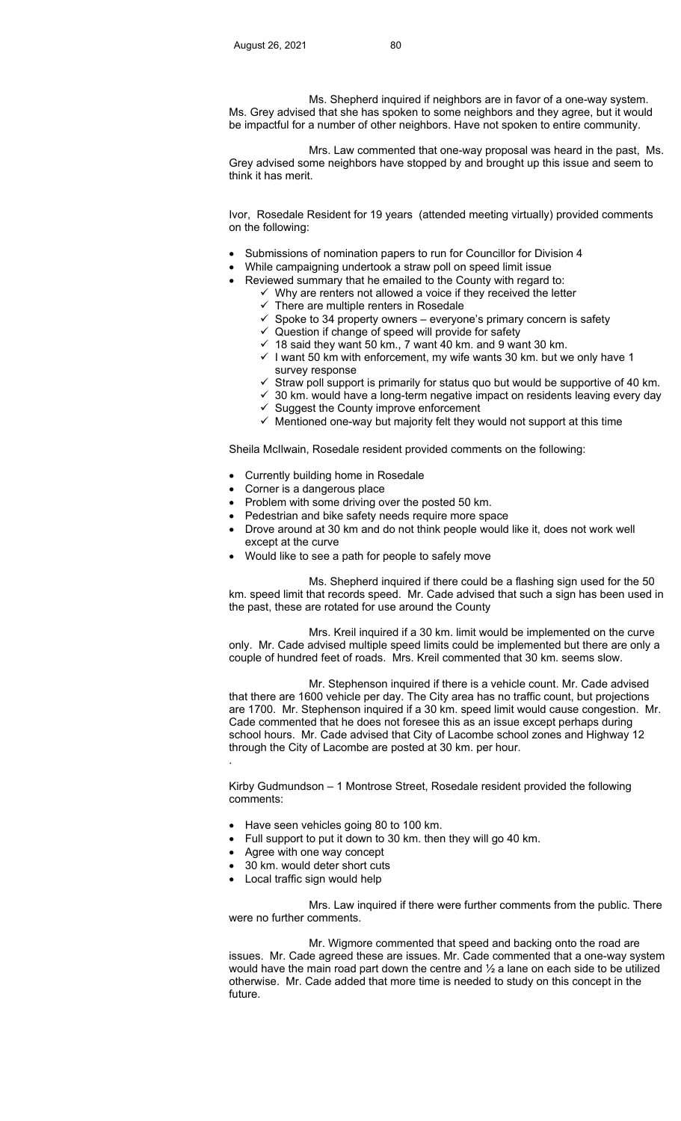Ms. Shepherd inquired if neighbors are in favor of a one-way system. Ms. Grey advised that she has spoken to some neighbors and they agree, but it would be impactful for a number of other neighbors. Have not spoken to entire community.

 Mrs. Law commented that one-way proposal was heard in the past, Ms. Grey advised some neighbors have stopped by and brought up this issue and seem to think it has merit.

 Ivor, Rosedale Resident for 19 years (attended meeting virtually) provided comments on the following:

- Submissions of nomination papers to run for Councillor for Division 4
- While campaigning undertook a straw poll on speed limit issue
	- Reviewed summary that he emailed to the County with regard to:
		- $\checkmark$  Why are renters not allowed a voice if they received the letter  $\checkmark$  There are multiple renters in Rosedale
		- There are multiple renters in Rosedale
		- $\checkmark$  Spoke to 34 property owners everyone's primary concern is safety
		- $\checkmark$  Question if change of speed will provide for safety
		- $\checkmark$  18 said they want 50 km., 7 want 40 km. and 9 want 30 km.
		- $\checkmark$  I want 50 km with enforcement, my wife wants 30 km. but we only have 1 survey response
		- Straw poll support is primarily for status quo but would be supportive of 40 km.
		- $\checkmark$  30 km. would have a long-term negative impact on residents leaving every day
		- $\checkmark$  Suggest the County improve enforcement
		- $\checkmark$  Mentioned one-way but majority felt they would not support at this time

Sheila McIlwain, Rosedale resident provided comments on the following:

- Currently building home in Rosedale
- Corner is a dangerous place
- Problem with some driving over the posted 50 km.
- Pedestrian and bike safety needs require more space
- Drove around at 30 km and do not think people would like it, does not work well except at the curve
- Would like to see a path for people to safely move

 Ms. Shepherd inquired if there could be a flashing sign used for the 50 km. speed limit that records speed. Mr. Cade advised that such a sign has been used in the past, these are rotated for use around the County

 Mrs. Kreil inquired if a 30 km. limit would be implemented on the curve only. Mr. Cade advised multiple speed limits could be implemented but there are only a couple of hundred feet of roads. Mrs. Kreil commented that 30 km. seems slow.

 Mr. Stephenson inquired if there is a vehicle count. Mr. Cade advised that there are 1600 vehicle per day. The City area has no traffic count, but projections are 1700. Mr. Stephenson inquired if a 30 km. speed limit would cause congestion. Mr. Cade commented that he does not foresee this as an issue except perhaps during school hours. Mr. Cade advised that City of Lacombe school zones and Highway 12 through the City of Lacombe are posted at 30 km. per hour.

 Kirby Gudmundson – 1 Montrose Street, Rosedale resident provided the following comments:

- Have seen vehicles going 80 to 100 km.
- Full support to put it down to 30 km. then they will go 40 km.
- Agree with one way concept

.

- 30 km. would deter short cuts
- Local traffic sign would help

 Mrs. Law inquired if there were further comments from the public. There were no further comments.

Mr. Wigmore commented that speed and backing onto the road are issues. Mr. Cade agreed these are issues. Mr. Cade commented that a one-way system would have the main road part down the centre and  $\frac{1}{2}$  a lane on each side to be utilized otherwise. Mr. Cade added that more time is needed to study on this concept in the future.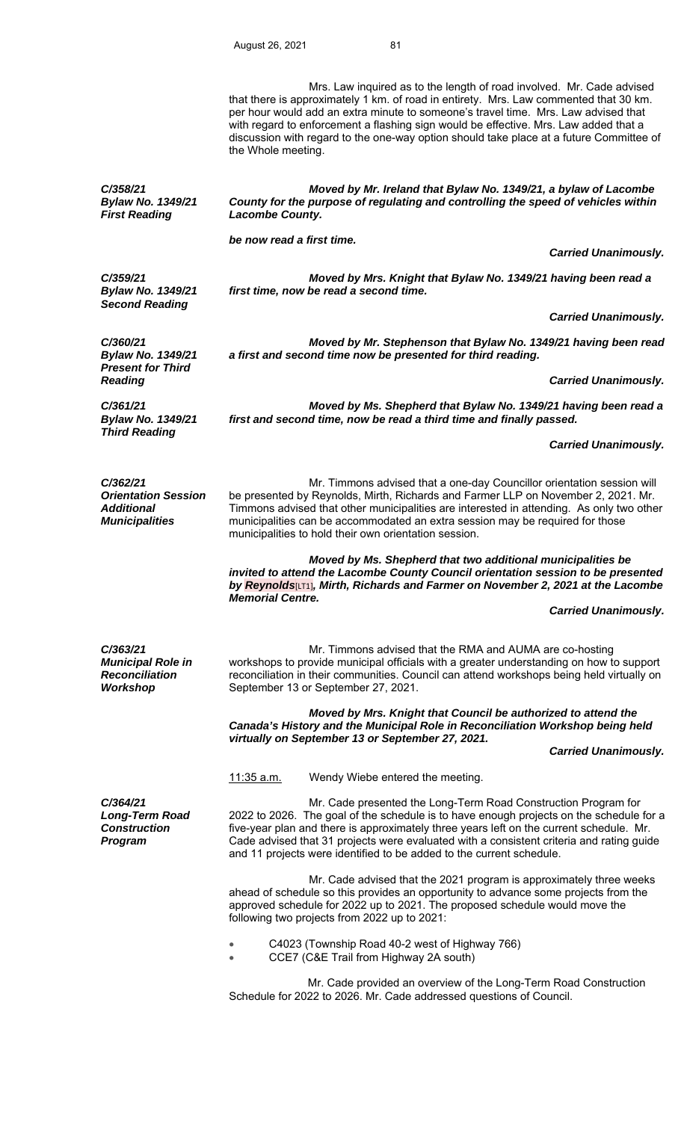Mrs. Law inquired as to the length of road involved. Mr. Cade advised that there is approximately 1 km. of road in entirety. Mrs. Law commented that 30 km. per hour would add an extra minute to someone's travel time. Mrs. Law advised that with regard to enforcement a flashing sign would be effective. Mrs. Law added that a discussion with regard to the one-way option should take place at a future Committee of the Whole meeting.  *Moved by Mr. Ireland that Bylaw No. 1349/21, a bylaw of Lacombe County for the purpose of regulating and controlling the speed of vehicles within Lacombe County. be now read a first time.* 

*C/359/21 Bylaw No. 1349/21 Second Reading* 

*Bylaw No. 1349/21 First Reading* 

*C/358/21* 

 *Moved by Mrs. Knight that Bylaw No. 1349/21 having been read a first time, now be read a second time.* 

 *Carried Unanimously.* 

 *Carried Unanimously.* 

*C/360/21 Bylaw No. 1349/21 Present for Third Reading* 

*Bylaw No. 1349/21 Third Reading* 

*C/361/21* 

 *Moved by Mr. Stephenson that Bylaw No. 1349/21 having been read a first and second time now be presented for third reading.* 

 *Carried Unanimously.* 

 *Moved by Ms. Shepherd that Bylaw No. 1349/21 having been read a first and second time, now be read a third time and finally passed.* 

 *Carried Unanimously.* 

*C/362/21 Orientation Session Additional Municipalities* 

 Mr. Timmons advised that a one-day Councillor orientation session will be presented by Reynolds, Mirth, Richards and Farmer LLP on November 2, 2021. Mr. Timmons advised that other municipalities are interested in attending. As only two other municipalities can be accommodated an extra session may be required for those municipalities to hold their own orientation session.

 *Moved by Ms. Shepherd that two additional municipalities be invited to attend the Lacombe County Council orientation session to be presented by Reynolds*[LT1]*, Mirth, Richards and Farmer on November 2, 2021 at the Lacombe Memorial Centre.* 

 *Carried Unanimously.* 

*C/363/21 Municipal Role in Reconciliation Workshop* 

 Mr. Timmons advised that the RMA and AUMA are co-hosting workshops to provide municipal officials with a greater understanding on how to support reconciliation in their communities. Council can attend workshops being held virtually on September 13 or September 27, 2021.

*Moved by Mrs. Knight that Council be authorized to attend the Canada's History and the Municipal Role in Reconciliation Workshop being held virtually on September 13 or September 27, 2021.* 

 *Carried Unanimously.* 

11:35 a.m. Wendy Wiebe entered the meeting.

*C/364/21 Long-Term Road Construction Program* 

Mr. Cade presented the Long-Term Road Construction Program for 2022 to 2026. The goal of the schedule is to have enough projects on the schedule for a five-year plan and there is approximately three years left on the current schedule. Mr. Cade advised that 31 projects were evaluated with a consistent criteria and rating guide and 11 projects were identified to be added to the current schedule.

 Mr. Cade advised that the 2021 program is approximately three weeks ahead of schedule so this provides an opportunity to advance some projects from the approved schedule for 2022 up to 2021. The proposed schedule would move the following two projects from 2022 up to 2021:

C4023 (Township Road 40-2 west of Highway 766)

CCE7 (C&E Trail from Highway 2A south)

 Mr. Cade provided an overview of the Long-Term Road Construction Schedule for 2022 to 2026. Mr. Cade addressed questions of Council.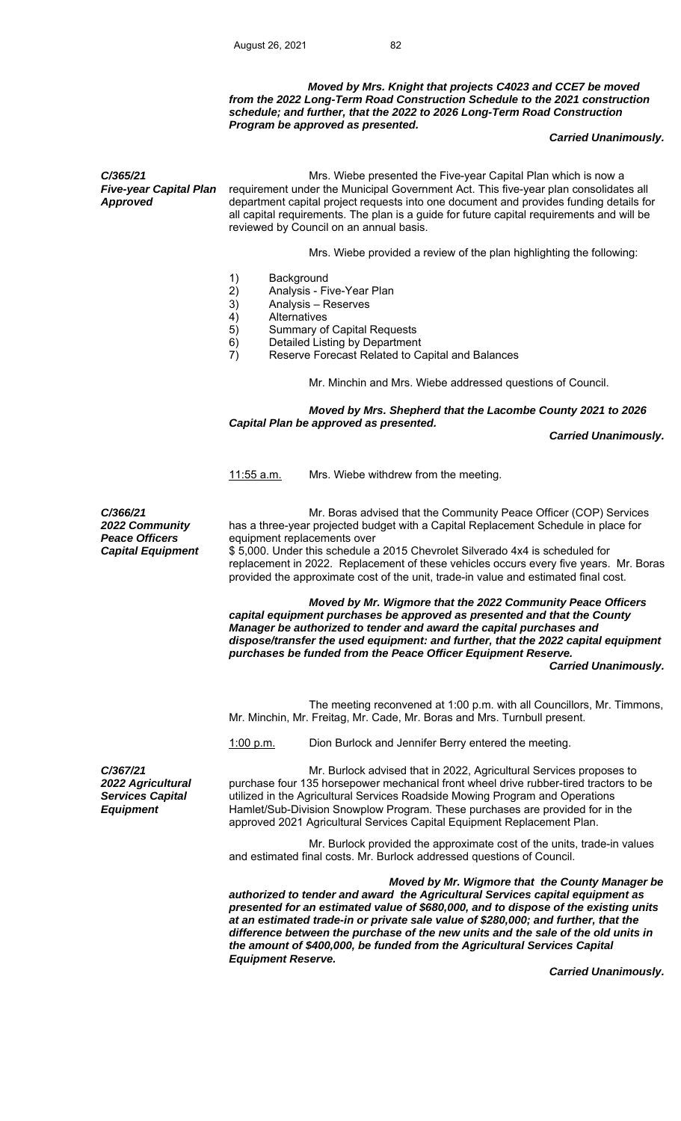## *Moved by Mrs. Knight that projects C4023 and CCE7 be moved from the 2022 Long-Term Road Construction Schedule to the 2021 construction schedule; and further, that the 2022 to 2026 Long-Term Road Construction Program be approved as presented.*

#### *Carried Unanimously.*

*C/365/21 Five-year Capital Plan Approved*  Mrs. Wiebe presented the Five-year Capital Plan which is now a requirement under the Municipal Government Act. This five-year plan consolidates all department capital project requests into one document and provides funding details for all capital requirements. The plan is a guide for future capital requirements and will be reviewed by Council on an annual basis. Mrs. Wiebe provided a review of the plan highlighting the following: 1) Background<br>2) Analysis - Fi 2) Analysis - Five-Year Plan<br>3) Analysis – Reserves Analysis – Reserves 4) Alternatives<br>5) Summary of Summary of Capital Requests 6) Detailed Listing by Department<br>7) Reserve Forecast Related to Ca Reserve Forecast Related to Capital and Balances Mr. Minchin and Mrs. Wiebe addressed questions of Council.  *Moved by Mrs. Shepherd that the Lacombe County 2021 to 2026 Capital Plan be approved as presented. Carried Unanimously.* 11:55 a.m. Mrs. Wiebe withdrew from the meeting. *C/366/21 2022 Community Peace Officers*  Mr. Boras advised that the Community Peace Officer (COP) Services has a three-year projected budget with a Capital Replacement Schedule in place for equipment replacements over *Capital Equipment* \$ 5,000. Under this schedule a 2015 Chevrolet Silverado 4x4 is scheduled for replacement in 2022. Replacement of these vehicles occurs every five years. Mr. Boras provided the approximate cost of the unit, trade-in value and estimated final cost. *Moved by Mr. Wigmore that the 2022 Community Peace Officers capital equipment purchases be approved as presented and that the County Manager be authorized to tender and award the capital purchases and dispose/transfer the used equipment: and further, that the 2022 capital equipment purchases be funded from the Peace Officer Equipment Reserve. Carried Unanimously.*  The meeting reconvened at 1:00 p.m. with all Councillors, Mr. Timmons, Mr. Minchin, Mr. Freitag, Mr. Cade, Mr. Boras and Mrs. Turnbull present. 1:00 p.m. Dion Burlock and Jennifer Berry entered the meeting. *C/367/21 2022 Agricultural Services Capital Equipment*  Mr. Burlock advised that in 2022, Agricultural Services proposes to purchase four 135 horsepower mechanical front wheel drive rubber-tired tractors to be utilized in the Agricultural Services Roadside Mowing Program and Operations Hamlet/Sub-Division Snowplow Program. These purchases are provided for in the approved 2021 Agricultural Services Capital Equipment Replacement Plan. Mr. Burlock provided the approximate cost of the units, trade-in values and estimated final costs. Mr. Burlock addressed questions of Council. *Moved by Mr. Wigmore that the County Manager be authorized to tender and award the Agricultural Services capital equipment as* 

*presented for an estimated value of \$680,000, and to dispose of the existing units at an estimated trade-in or private sale value of \$280,000; and further, that the difference between the purchase of the new units and the sale of the old units in the amount of \$400,000, be funded from the Agricultural Services Capital Equipment Reserve.* 

 *Carried Unanimously.*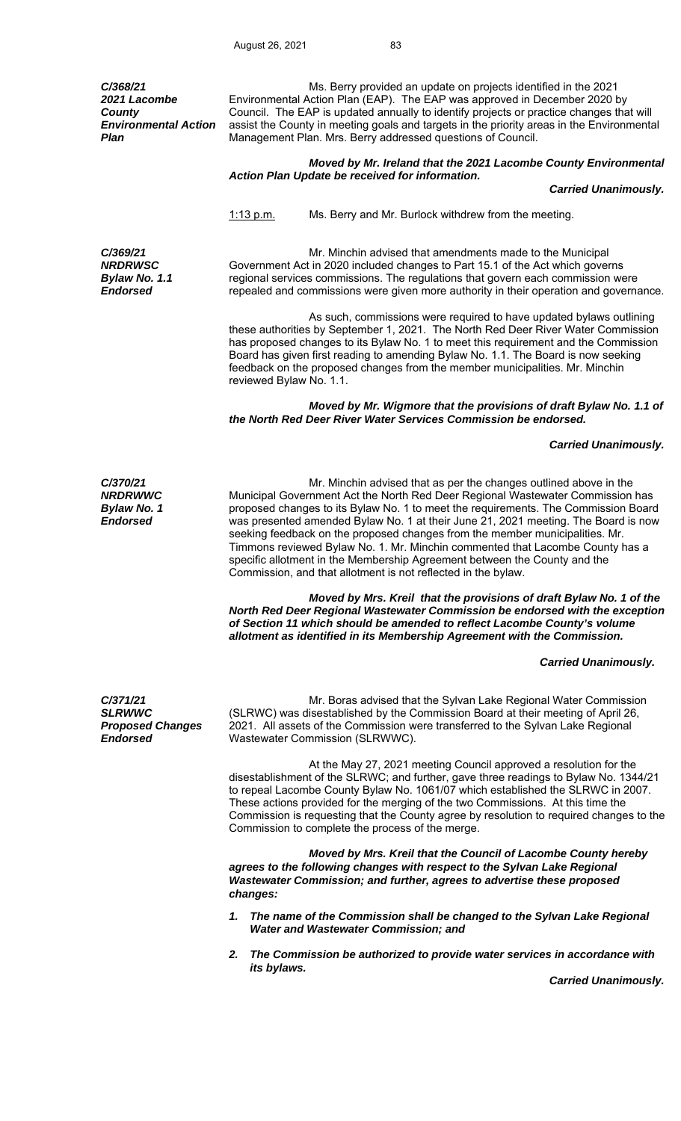*C/368/21 2021 Lacombe County Environmental Action Plan*  Ms. Berry provided an update on projects identified in the 2021 Environmental Action Plan (EAP). The EAP was approved in December 2020 by Council. The EAP is updated annually to identify projects or practice changes that will assist the County in meeting goals and targets in the priority areas in the Environmental Management Plan. Mrs. Berry addressed questions of Council. *Moved by Mr. Ireland that the 2021 Lacombe County Environmental Action Plan Update be received for information. Carried Unanimously.*  1:13 p.m. Ms. Berry and Mr. Burlock withdrew from the meeting. *C/369/21 NRDRWSC Bylaw No. 1.1 Endorsed*  Mr. Minchin advised that amendments made to the Municipal Government Act in 2020 included changes to Part 15.1 of the Act which governs regional services commissions. The regulations that govern each commission were repealed and commissions were given more authority in their operation and governance. As such, commissions were required to have updated bylaws outlining these authorities by September 1, 2021. The North Red Deer River Water Commission has proposed changes to its Bylaw No. 1 to meet this requirement and the Commission Board has given first reading to amending Bylaw No. 1.1. The Board is now seeking feedback on the proposed changes from the member municipalities. Mr. Minchin reviewed Bylaw No. 1.1. *Moved by Mr. Wigmore that the provisions of draft Bylaw No. 1.1 of the North Red Deer River Water Services Commission be endorsed. Carried Unanimously. C/370/21 NRDRWWC Bylaw No. 1 Endorsed*  Mr. Minchin advised that as per the changes outlined above in the Municipal Government Act the North Red Deer Regional Wastewater Commission has proposed changes to its Bylaw No. 1 to meet the requirements. The Commission Board was presented amended Bylaw No. 1 at their June 21, 2021 meeting. The Board is now seeking feedback on the proposed changes from the member municipalities. Mr. Timmons reviewed Bylaw No. 1. Mr. Minchin commented that Lacombe County has a specific allotment in the Membership Agreement between the County and the Commission, and that allotment is not reflected in the bylaw.  *Moved by Mrs. Kreil that the provisions of draft Bylaw No. 1 of the North Red Deer Regional Wastewater Commission be endorsed with the exception of Section 11 which should be amended to reflect Lacombe County's volume allotment as identified in its Membership Agreement with the Commission. Carried Unanimously. C/371/21 SLRWWC Proposed Changes Endorsed*  Mr. Boras advised that the Sylvan Lake Regional Water Commission (SLRWC) was disestablished by the Commission Board at their meeting of April 26, 2021. All assets of the Commission were transferred to the Sylvan Lake Regional Wastewater Commission (SLRWWC). At the May 27, 2021 meeting Council approved a resolution for the disestablishment of the SLRWC; and further, gave three readings to Bylaw No. 1344/21 to repeal Lacombe County Bylaw No. 1061/07 which established the SLRWC in 2007. These actions provided for the merging of the two Commissions. At this time the Commission is requesting that the County agree by resolution to required changes to the Commission to complete the process of the merge. *Moved by Mrs. Kreil that the Council of Lacombe County hereby*  agrees to the following changes with respect to the Sylvan Lake Regional *Wastewater Commission; and further, agrees to advertise these proposed changes: 1. The name of the Commission shall be changed to the Sylvan Lake Regional Water and Wastewater Commission; and 2. The Commission be authorized to provide water services in accordance with its bylaws. Carried Unanimously.*